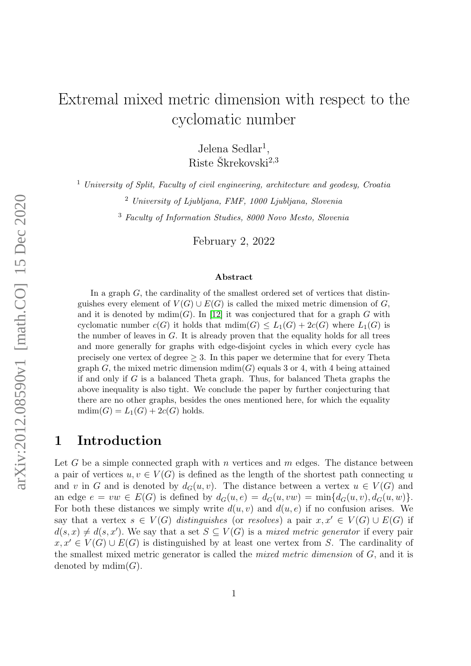# Extremal mixed metric dimension with respect to the cyclomatic number

Jelena Sedlar<sup>1</sup>, Riste Škrekovski $^{2,3}$ 

<sup>1</sup> University of Split, Faculty of civil engineering, architecture and geodesy, Croatia

<sup>2</sup> University of Ljubljana, FMF, 1000 Ljubljana, Slovenia

<sup>3</sup> Faculty of Information Studies, 8000 Novo Mesto, Slovenia

February 2, 2022

#### Abstract

arXiv:2012.08590v1 [math.CO] 15 Dec 2020 arXiv:2012.08590v1 [math.CO] 15 Dec 2020

In a graph G, the cardinality of the smallest ordered set of vertices that distinguishes every element of  $V(G) \cup E(G)$  is called the mixed metric dimension of G, and it is denoted by  $\text{mdim}(G)$ . In [\[12\]](#page-13-0) it was conjectured that for a graph G with cyclomatic number  $c(G)$  it holds that  $\text{mdim}(G) \leq L_1(G) + 2c(G)$  where  $L_1(G)$  is the number of leaves in  $G$ . It is already proven that the equality holds for all trees and more generally for graphs with edge-disjoint cycles in which every cycle has precisely one vertex of degree  $\geq 3$ . In this paper we determine that for every Theta graph G, the mixed metric dimension  $\text{mdim}(G)$  equals 3 or 4, with 4 being attained if and only if  $G$  is a balanced Theta graph. Thus, for balanced Theta graphs the above inequality is also tight. We conclude the paper by further conjecturing that there are no other graphs, besides the ones mentioned here, for which the equality  $mdim(G) = L_1(G) + 2c(G)$  holds.

# 1 Introduction

Let G be a simple connected graph with n vertices and  $m$  edges. The distance between a pair of vertices  $u, v \in V(G)$  is defined as the length of the shortest path connecting u and v in G and is denoted by  $d_G(u, v)$ . The distance between a vertex  $u \in V(G)$  and an edge  $e = vw \in E(G)$  is defined by  $d_G(u, e) = d_G(u, vw) = \min\{d_G(u, v), d_G(u, w)\}.$ For both these distances we simply write  $d(u, v)$  and  $d(u, e)$  if no confusion arises. We say that a vertex  $s \in V(G)$  distinguishes (or resolves) a pair  $x, x' \in V(G) \cup E(G)$  if  $d(s, x) \neq d(s, x')$ . We say that a set  $S \subseteq V(G)$  is a mixed metric generator if every pair  $x, x' \in V(G) \cup E(G)$  is distinguished by at least one vertex from S. The cardinality of the smallest mixed metric generator is called the mixed metric dimension of G, and it is denoted by  $mdim(G)$ .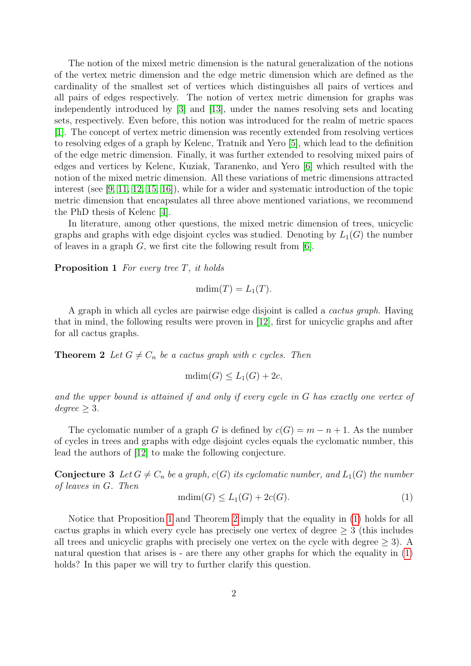The notion of the mixed metric dimension is the natural generalization of the notions of the vertex metric dimension and the edge metric dimension which are defined as the cardinality of the smallest set of vertices which distinguishes all pairs of vertices and all pairs of edges respectively. The notion of vertex metric dimension for graphs was independently introduced by [\[3\]](#page-12-0) and [\[13\]](#page-13-1), under the names resolving sets and locating sets, respectively. Even before, this notion was introduced for the realm of metric spaces [\[1\]](#page-12-1). The concept of vertex metric dimension was recently extended from resolving vertices to resolving edges of a graph by Kelenc, Tratnik and Yero [\[5\]](#page-12-2), which lead to the definition of the edge metric dimension. Finally, it was further extended to resolving mixed pairs of edges and vertices by Kelenc, Kuziak, Taranenko, and Yero [\[6\]](#page-12-3) which resulted with the notion of the mixed metric dimension. All these variations of metric dimensions attracted interest (see [\[9,](#page-12-4) [11,](#page-12-5) [12,](#page-13-0) [15,](#page-13-2) [16\]](#page-13-3)), while for a wider and systematic introduction of the topic metric dimension that encapsulates all three above mentioned variations, we recommend the PhD thesis of Kelenc [\[4\]](#page-12-6).

In literature, among other questions, the mixed metric dimension of trees, unicyclic graphs and graphs with edge disjoint cycles was studied. Denoting by  $L_1(G)$  the number of leaves in a graph  $G$ , we first cite the following result from [\[6\]](#page-12-3).

<span id="page-1-0"></span>**Proposition 1** For every tree  $T$ , it holds

$$
\mathrm{mdim}(T)=L_1(T).
$$

A graph in which all cycles are pairwise edge disjoint is called a cactus graph. Having that in mind, the following results were proven in [\[12\]](#page-13-0), first for unicyclic graphs and after for all cactus graphs.

<span id="page-1-1"></span>**Theorem 2** Let  $G \neq C_n$  be a cactus graph with c cycles. Then

$$
\mathrm{mdim}(G) \le L_1(G) + 2c,
$$

and the upper bound is attained if and only if every cycle in G has exactly one vertex of  $degree \geq 3$ .

The cyclomatic number of a graph G is defined by  $c(G) = m - n + 1$ . As the number of cycles in trees and graphs with edge disjoint cycles equals the cyclomatic number, this lead the authors of [\[12\]](#page-13-0) to make the following conjecture.

<span id="page-1-3"></span>**Conjecture 3** Let  $G \neq C_n$  be a graph,  $c(G)$  its cyclomatic number, and  $L_1(G)$  the number of leaves in G. Then

<span id="page-1-2"></span>
$$
\text{mdim}(G) \le L_1(G) + 2c(G). \tag{1}
$$

Notice that Proposition [1](#page-1-0) and Theorem [2](#page-1-1) imply that the equality in [\(1\)](#page-1-2) holds for all cactus graphs in which every cycle has precisely one vertex of degree  $\geq 3$  (this includes all trees and unicyclic graphs with precisely one vertex on the cycle with degree  $> 3$ ). A natural question that arises is - are there any other graphs for which the equality in [\(1\)](#page-1-2) holds? In this paper we will try to further clarify this question.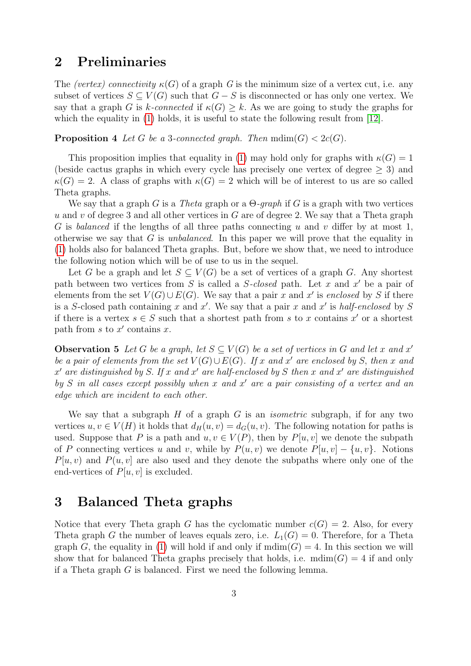## 2 Preliminaries

The (vertex) connectivity  $\kappa(G)$  of a graph G is the minimum size of a vertex cut, i.e. any subset of vertices  $S \subseteq V(G)$  such that  $G - S$  is disconnected or has only one vertex. We say that a graph G is k-connected if  $\kappa(G) \geq k$ . As we are going to study the graphs for which the equality in [\(1\)](#page-1-2) holds, it is useful to state the following result from [\[12\]](#page-13-0).

<span id="page-2-2"></span>**Proposition 4** Let G be a 3-connected graph. Then  $\text{mdim}(G) < 2c(G)$ .

This proposition implies that equality in [\(1\)](#page-1-2) may hold only for graphs with  $\kappa(G) = 1$ (beside cactus graphs in which every cycle has precisely one vertex of degree  $\geq 3$ ) and  $\kappa(G) = 2$ . A class of graphs with  $\kappa(G) = 2$  which will be of interest to us are so called Theta graphs.

We say that a graph G is a Theta graph or a  $\Theta$ -graph if G is a graph with two vertices  $u$  and  $v$  of degree 3 and all other vertices in  $G$  are of degree 2. We say that a Theta graph G is balanced if the lengths of all three paths connecting u and v differ by at most 1, otherwise we say that G is *unbalanced*. In this paper we will prove that the equality in [\(1\)](#page-1-2) holds also for balanced Theta graphs. But, before we show that, we need to introduce the following notion which will be of use to us in the sequel.

Let G be a graph and let  $S \subseteq V(G)$  be a set of vertices of a graph G. Any shortest path between two vertices from  $S$  is called a  $S$ -closed path. Let  $x$  and  $x'$  be a pair of elements from the set  $V(G) \cup E(G)$ . We say that a pair x and x' is enclosed by S if there is a S-closed path containing x and x'. We say that a pair x and x' is half-enclosed by S if there is a vertex  $s \in S$  such that a shortest path from s to x contains  $x'$  or a shortest path from  $s$  to  $x'$  contains  $x$ .

<span id="page-2-1"></span>**Observation 5** Let G be a graph, let  $S \subseteq V(G)$  be a set of vertices in G and let x and x' be a pair of elements from the set  $V(G) \cup E(G)$ . If x and x' are enclosed by S, then x and  $x'$  are distinguished by S. If x and x' are half-enclosed by S then x and x' are distinguished by  $S$  in all cases except possibly when x and  $x'$  are a pair consisting of a vertex and an edge which are incident to each other.

We say that a subgraph  $H$  of a graph  $G$  is an *isometric* subgraph, if for any two vertices  $u, v \in V(H)$  it holds that  $d_H(u, v) = d_G(u, v)$ . The following notation for paths is used. Suppose that P is a path and  $u, v \in V(P)$ , then by  $P[u, v]$  we denote the subpath of P connecting vertices u and v, while by  $P(u, v)$  we denote  $P[u, v] - \{u, v\}$ . Notions  $P[u, v]$  and  $P(u, v]$  are also used and they denote the subpaths where only one of the end-vertices of  $P[u, v]$  is excluded.

### 3 Balanced Theta graphs

<span id="page-2-0"></span>Notice that every Theta graph G has the cyclomatic number  $c(G) = 2$ . Also, for every Theta graph G the number of leaves equals zero, i.e.  $L_1(G) = 0$ . Therefore, for a Theta graph G, the equality in [\(1\)](#page-1-2) will hold if and only if  $\text{mdim}(G) = 4$ . In this section we will show that for balanced Theta graphs precisely that holds, i.e.  $\text{mdim}(G) = 4$  if and only if a Theta graph  $G$  is balanced. First we need the following lemma.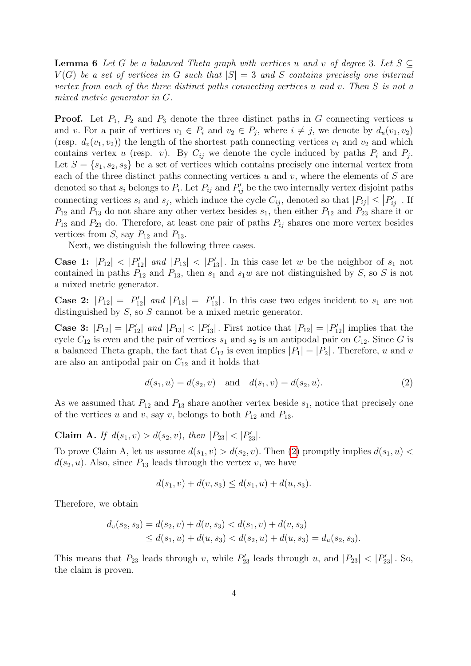**Lemma 6** Let G be a balanced Theta graph with vertices u and v of degree 3. Let  $S \subseteq$  $V(G)$  be a set of vertices in G such that  $|S| = 3$  and S contains precisely one internal vertex from each of the three distinct paths connecting vertices u and v. Then S is not a mixed metric generator in G.

**Proof.** Let  $P_1$ ,  $P_2$  and  $P_3$  denote the three distinct paths in G connecting vertices u and v. For a pair of vertices  $v_1 \in P_i$  and  $v_2 \in P_j$ , where  $i \neq j$ , we denote by  $d_u(v_1, v_2)$ (resp.  $d_v(v_1, v_2)$ ) the length of the shortest path connecting vertices  $v_1$  and  $v_2$  and which contains vertex u (resp. v). By  $C_{ij}$  we denote the cycle induced by paths  $P_i$  and  $P_j$ . Let  $S = \{s_1, s_2, s_3\}$  be a set of vertices which contains precisely one internal vertex from each of the three distinct paths connecting vertices  $u$  and  $v$ , where the elements of  $S$  are denoted so that  $s_i$  belongs to  $P_i$ . Let  $P_{ij}$  and  $P'_{ij}$  be the two internally vertex disjoint paths connecting vertices  $s_i$  and  $s_j$ , which induce the cycle  $C_{ij}$ , denoted so that  $|P_{ij}| \leq |P'_{ij}|$ . If  $P_{12}$  and  $P_{13}$  do not share any other vertex besides  $s_1$ , then either  $P_{12}$  and  $P_{23}$  share it or  $P_{13}$  and  $P_{23}$  do. Therefore, at least one pair of paths  $P_{ij}$  shares one more vertex besides vertices from S, say  $P_{12}$  and  $P_{13}$ .

Next, we distinguish the following three cases.

**Case 1:**  $|P_{12}|$  <  $|P'_{12}|$  and  $|P_{13}|$  <  $|P'_{13}|$ . In this case let w be the neighbor of  $s_1$  not contained in paths  $P_{12}$  and  $P_{13}$ , then  $s_1$  and  $s_1w$  are not distinguished by S, so S is not a mixed metric generator.

**Case 2:**  $|P_{12}| = |P'_{12}|$  and  $|P_{13}| = |P'_{13}|$ . In this case two edges incident to  $s_1$  are not distinguished by  $S$ , so  $S$  cannot be a mixed metric generator.

**Case 3:**  $|P_{12}| = |P'_{12}|$  and  $|P_{13}| < |P'_{13}|$ . First notice that  $|P_{12}| = |P'_{12}|$  implies that the cycle  $C_{12}$  is even and the pair of vertices  $s_1$  and  $s_2$  is an antipodal pair on  $C_{12}$ . Since G is a balanced Theta graph, the fact that  $C_{12}$  is even implies  $|P_1| = |P_2|$ . Therefore, u and v are also an antipodal pair on  $C_{12}$  and it holds that

<span id="page-3-0"></span>
$$
d(s_1, u) = d(s_2, v) \text{ and } d(s_1, v) = d(s_2, u). \tag{2}
$$

As we assumed that  $P_{12}$  and  $P_{13}$  share another vertex beside  $s_1$ , notice that precisely one of the vertices u and v, say v, belongs to both  $P_{12}$  and  $P_{13}$ .

Claim A. If  $d(s_1, v) > d(s_2, v)$ , then  $|P_{23}| < |P'_{23}|$ .

To prove Claim A, let us assume  $d(s_1, v) > d(s_2, v)$ . Then [\(2\)](#page-3-0) promptly implies  $d(s_1, u)$  $d(s_2, u)$ . Also, since  $P_{13}$  leads through the vertex v, we have

$$
d(s_1, v) + d(v, s_3) \le d(s_1, u) + d(u, s_3).
$$

Therefore, we obtain

$$
d_v(s_2, s_3) = d(s_2, v) + d(v, s_3) < d(s_1, v) + d(v, s_3)
$$
  
\n
$$
\leq d(s_1, u) + d(u, s_3) < d(s_2, u) + d(u, s_3) = d_u(s_2, s_3).
$$

This means that  $P_{23}$  leads through v, while  $P'_{23}$  leads through u, and  $|P_{23}| < |P'_{23}|$ . So, the claim is proven.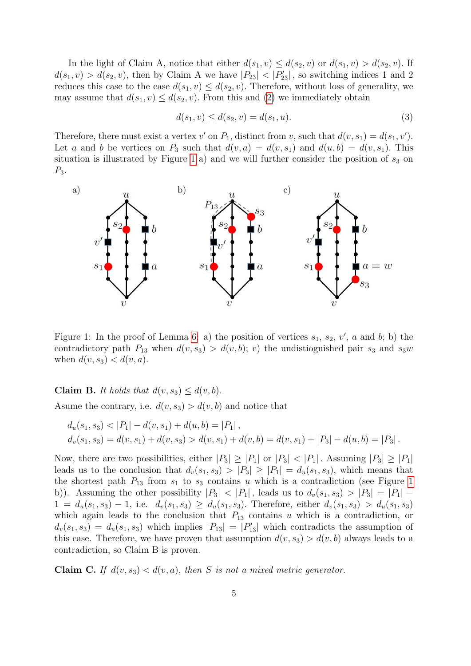In the light of Claim A, notice that either  $d(s_1, v) \leq d(s_2, v)$  or  $d(s_1, v) > d(s_2, v)$ . If  $d(s_1, v) > d(s_2, v)$ , then by Claim A we have  $|P_{23}| < |P'_{23}|$ , so switching indices 1 and 2 reduces this case to the case  $d(s_1, v) \leq d(s_2, v)$ . Therefore, without loss of generality, we may assume that  $d(s_1, v) \leq d(s_2, v)$ . From this and [\(2\)](#page-3-0) we immediately obtain

<span id="page-4-1"></span>
$$
d(s_1, v) \le d(s_2, v) = d(s_1, u). \tag{3}
$$

Therefore, there must exist a vertex  $v'$  on  $P_1$ , distinct from v, such that  $d(v, s_1) = d(s_1, v')$ . Let a and b be vertices on  $P_3$  such that  $d(v, a) = d(v, s_1)$  and  $d(u, b) = d(v, s_1)$ . This situation is illustrated by Figure [1](#page-4-0) a) and we will further consider the position of  $s_3$  on  $P_3$ .



<span id="page-4-0"></span>Figure 1: In the proof of Lemma [6:](#page-2-0) a) the position of vertices  $s_1, s_2, v', a$  and b; b) the contradictory path  $P_{13}$  when  $d(v, s_3) > d(v, b)$ ; c) the undistioguished pair  $s_3$  and  $s_3w$ when  $d(v, s_3) < d(v, a)$ .

Claim B. It holds that  $d(v, s_3) \leq d(v, b)$ .

Asume the contrary, i.e.  $d(v, s_3) > d(v, b)$  and notice that

$$
d_u(s_1, s_3) < |P_1| - d(v, s_1) + d(u, b) = |P_1|,
$$
  
\n
$$
d_v(s_1, s_3) = d(v, s_1) + d(v, s_3) > d(v, s_1) + d(v, b) = d(v, s_1) + |P_3| - d(u, b) = |P_3|.
$$

Now, there are two possibilities, either  $|P_3| \geq |P_1|$  or  $|P_3| < |P_1|$ . Assuming  $|P_3| \geq |P_1|$ leads us to the conclusion that  $d_v(s_1, s_3) > |P_3| \geq |P_1| = d_u(s_1, s_3)$ , which means that the shortest path  $P_{13}$  from  $s_1$  to  $s_3$  contains u which is a contradiction (see Figure [1](#page-4-0)) b)). Assuming the other possibility  $|P_3|$  <  $|P_1|$ , leads us to  $d_v(s_1, s_3) > |P_3| = |P_1|$  –  $1 = d_u(s_1, s_3) - 1$ , i.e.  $d_v(s_1, s_3) \ge d_u(s_1, s_3)$ . Therefore, either  $d_v(s_1, s_3) > d_u(s_1, s_3)$ which again leads to the conclusion that  $P_{13}$  contains u which is a contradiction, or  $d_v(s_1, s_3) = d_u(s_1, s_3)$  which implies  $|P_{13}| = |P'_{13}|$  which contradicts the assumption of this case. Therefore, we have proven that assumption  $d(v, s_3) > d(v, b)$  always leads to a contradiction, so Claim B is proven.

Claim C. If  $d(v, s_3) < d(v, a)$ , then S is not a mixed metric generator.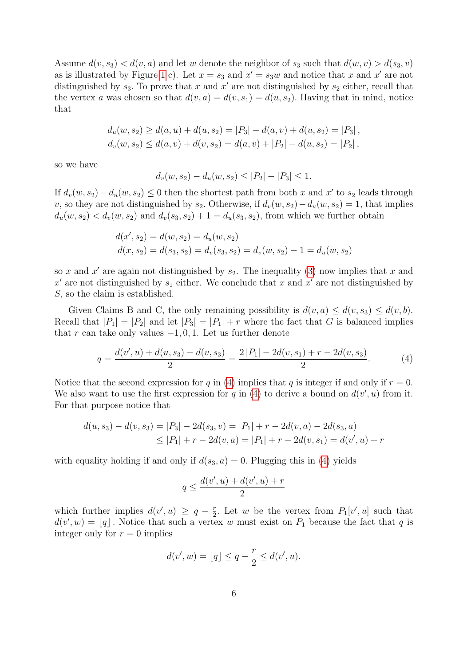Assume  $d(v, s_3) < d(v, a)$  and let w denote the neighbor of  $s_3$  such that  $d(w, v) > d(s_3, v)$ as is illustrated by Figure [1](#page-4-0) c). Let  $x = s_3$  and  $x' = s_3w$  and notice that x and x' are not distinguished by  $s_3$ . To prove that x and x' are not distinguished by  $s_2$  either, recall that the vertex a was chosen so that  $d(v, a) = d(v, s_1) = d(u, s_2)$ . Having that in mind, notice that

$$
d_u(w, s_2) \ge d(a, u) + d(u, s_2) = |P_3| - d(a, v) + d(u, s_2) = |P_3|,
$$
  

$$
d_v(w, s_2) \le d(a, v) + d(v, s_2) = d(a, v) + |P_2| - d(u, s_2) = |P_2|,
$$

so we have

$$
d_v(w, s_2) - d_u(w, s_2) \le |P_2| - |P_3| \le 1.
$$

If  $d_v(w, s_2) - d_u(w, s_2) \leq 0$  then the shortest path from both x and x' to  $s_2$  leads through v, so they are not distinguished by s<sub>2</sub>. Otherwise, if  $d_v(w, s_2) - d_u(w, s_2) = 1$ , that implies  $d_u(w, s_2) < d_v(w, s_2)$  and  $d_v(s_3, s_2) + 1 = d_u(s_3, s_2)$ , from which we further obtain

$$
d(x', s_2) = d(w, s_2) = d_u(w, s_2)
$$
  

$$
d(x, s_2) = d(s_3, s_2) = d_v(s_3, s_2) = d_v(w, s_2) - 1 = d_u(w, s_2)
$$

so x and x' are again not distinguished by  $s_2$ . The inequality [\(3\)](#page-4-1) now implies that x and  $x'$  are not distinguished by  $s_1$  either. We conclude that x and  $x'$  are not distinguished by S, so the claim is established.

Given Claims B and C, the only remaining possibility is  $d(v, a) \leq d(v, s_3) \leq d(v, b)$ . Recall that  $|P_1| = |P_2|$  and let  $|P_3| = |P_1| + r$  where the fact that G is balanced implies that r can take only values  $-1, 0, 1$ . Let us further denote

$$
q = \frac{d(v', u) + d(u, s_3) - d(v, s_3)}{2} = \frac{2|P_1| - 2d(v, s_1) + r - 2d(v, s_3)}{2}.
$$
 (4)

Notice that the second expression for q in [\(4\)](#page-5-0) implies that q is integer if and only if  $r = 0$ . We also want to use the first expression for q in [\(4\)](#page-5-0) to derive a bound on  $d(v', u)$  from it. For that purpose notice that

$$
d(u, s_3) - d(v, s_3) = |P_3| - 2d(s_3, v) = |P_1| + r - 2d(v, a) - 2d(s_3, a)
$$
  
\n
$$
\leq |P_1| + r - 2d(v, a) = |P_1| + r - 2d(v, s_1) = d(v', u) + r
$$

with equality holding if and only if  $d(s_3, a) = 0$ . Plugging this in [\(4\)](#page-5-0) yields

<span id="page-5-0"></span>
$$
q \le \frac{d(v',u) + d(v',u) + r}{2}
$$

which further implies  $d(v', u) \geq q - \frac{r}{2}$  $\frac{r}{2}$ . Let w be the vertex from  $P_1[v', u]$  such that  $d(v', w) = [q]$ . Notice that such a vertex w must exist on  $P_1$  because the fact that q is integer only for  $r = 0$  implies

$$
d(v', w) = \lfloor q \rfloor \leq q - \frac{r}{2} \leq d(v', u).
$$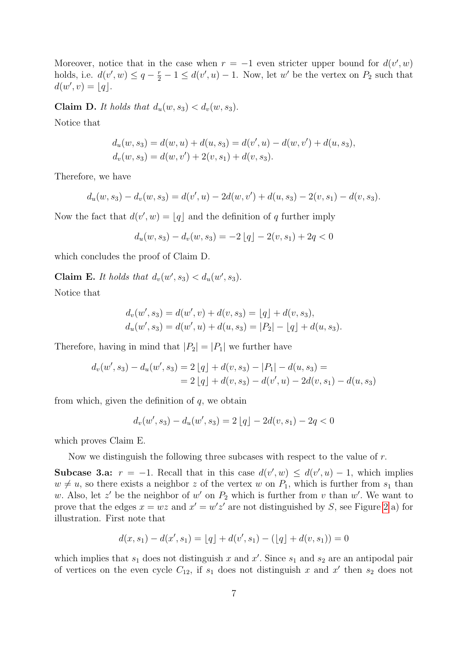Moreover, notice that in the case when  $r = -1$  even stricter upper bound for  $d(v', w)$ holds, i.e.  $d(v', w) \leq q - \frac{r}{2} - 1 \leq d(v', u) - 1$ . Now, let w' be the vertex on  $P_2$  such that  $d(w', v) = \lfloor q \rfloor.$ 

Claim D. It holds that  $d_u(w, s_3) < d_v(w, s_3)$ .

Notice that

$$
d_u(w, s_3) = d(w, u) + d(u, s_3) = d(v', u) - d(w, v') + d(u, s_3),
$$
  

$$
d_v(w, s_3) = d(w, v') + 2(v, s_1) + d(v, s_3).
$$

Therefore, we have

$$
d_u(w, s_3) - d_v(w, s_3) = d(v', u) - 2d(w, v') + d(u, s_3) - 2(v, s_1) - d(v, s_3).
$$

Now the fact that  $d(v', w) = |q|$  and the definition of q further imply

$$
d_u(w, s_3) - d_v(w, s_3) = -2 \lfloor q \rfloor - 2(v, s_1) + 2q < 0
$$

which concludes the proof of Claim D.

Claim E. It holds that  $d_v(w', s_3) < d_u(w', s_3)$ .

Notice that

$$
d_v(w', s_3) = d(w', v) + d(v, s_3) = \lfloor q \rfloor + d(v, s_3),
$$
  

$$
d_u(w', s_3) = d(w', u) + d(u, s_3) = |P_2| - \lfloor q \rfloor + d(u, s_3).
$$

Therefore, having in mind that  $|P_2| = |P_1|$  we further have

$$
d_v(w', s_3) - d_u(w', s_3) = 2|q| + d(v, s_3) - |P_1| - d(u, s_3) =
$$
  
= 2|q| + d(v, s\_3) - d(v', u) - 2d(v, s\_1) - d(u, s\_3)

from which, given the definition of  $q$ , we obtain

$$
d_v(w', s_3) - d_u(w', s_3) = 2\lfloor q \rfloor - 2d(v, s_1) - 2q < 0
$$

which proves Claim E.

Now we distinguish the following three subcases with respect to the value of r.

Subcase 3.a:  $r = -1$ . Recall that in this case  $d(v', w) \leq d(v', u) - 1$ , which implies  $w \neq u$ , so there exists a neighbor z of the vertex w on  $P_1$ , which is further from  $s_1$  than w. Also, let z' be the neighbor of w' on  $P_2$  which is further from v than w'. We want to prove that the edges  $x = wz$  and  $x' = w'z'$  are not distinguished by S, see Figure [2](#page-7-0) a) for illustration. First note that

$$
d(x,s_1) - d(x',s_1) = \lfloor q \rfloor + d(v',s_1) - (\lfloor q \rfloor + d(v,s_1)) = 0
$$

which implies that  $s_1$  does not distinguish x and x'. Since  $s_1$  and  $s_2$  are an antipodal pair of vertices on the even cycle  $C_{12}$ , if  $s_1$  does not distinguish x and x' then  $s_2$  does not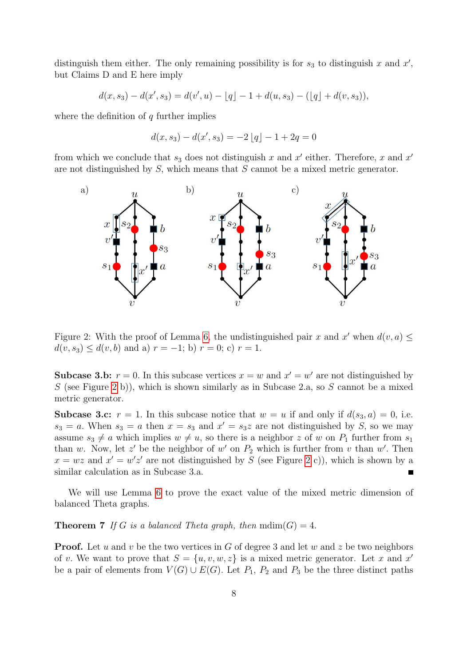distinguish them either. The only remaining possibility is for  $s_3$  to distinguish x and  $x'$ , but Claims D and E here imply

$$
d(x, s_3) - d(x', s_3) = d(v', u) - \lfloor q \rfloor - 1 + d(u, s_3) - (\lfloor q \rfloor + d(v, s_3)),
$$

where the definition of  $q$  further implies

$$
d(x, s_3) - d(x', s_3) = -2 \lfloor q \rfloor - 1 + 2q = 0
$$

from which we conclude that  $s_3$  does not distinguish x and x' either. Therefore, x and x' are not distinguished by  $S$ , which means that  $S$  cannot be a mixed metric generator.



<span id="page-7-0"></span>Figure 2: With the proof of Lemma [6,](#page-2-0) the undistinguished pair x and x' when  $d(v, a) \leq$  $d(v, s_3) \leq d(v, b)$  and a)  $r = -1$ ; b)  $r = 0$ ; c)  $r = 1$ .

**Subcase 3.b:**  $r = 0$ . In this subcase vertices  $x = w$  and  $x' = w'$  are not distinguished by S (see Figure [2](#page-7-0) b)), which is shown similarly as in Subcase 2.a, so S cannot be a mixed metric generator.

**Subcase 3.c:**  $r = 1$ . In this subcase notice that  $w = u$  if and only if  $d(s_3, a) = 0$ , i.e.  $s_3 = a$ . When  $s_3 = a$  then  $x = s_3$  and  $x' = s_3z$  are not distinguished by S, so we may assume  $s_3 \neq a$  which implies  $w \neq u$ , so there is a neighbor z of w on  $P_1$  further from  $s_1$ than w. Now, let z' be the neighbor of w' on  $P_2$  which is further from v than w'. Then  $x = wz$  and  $x' = w'z'$  are not distinguished by S (see Figure [2](#page-7-0) c)), which is shown by a similar calculation as in Subcase 3.a.

We will use Lemma [6](#page-2-0) to prove the exact value of the mixed metric dimension of balanced Theta graphs.

<span id="page-7-1"></span>**Theorem 7** If G is a balanced Theta graph, then  $\text{mdim}(G) = 4$ .

**Proof.** Let u and v be the two vertices in G of degree 3 and let w and z be two neighbors of v. We want to prove that  $S = \{u, v, w, z\}$  is a mixed metric generator. Let x and x' be a pair of elements from  $V(G) \cup E(G)$ . Let  $P_1$ ,  $P_2$  and  $P_3$  be the three distinct paths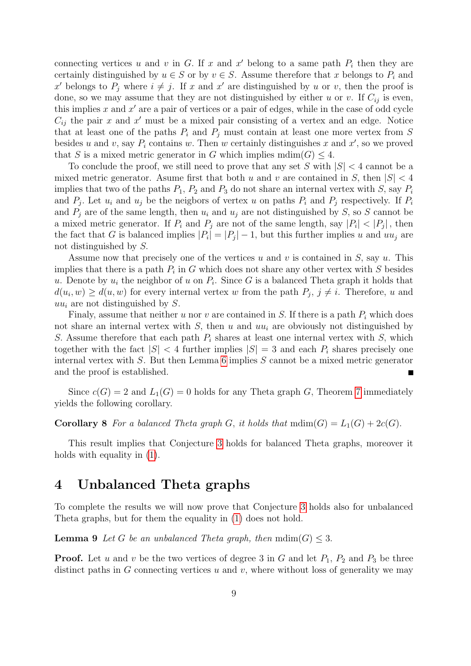connecting vertices u and v in G. If x and x' belong to a same path  $P_i$  then they are certainly distinguished by  $u \in S$  or by  $v \in S$ . Assume therefore that x belongs to  $P_i$  and x' belongs to  $P_j$  where  $i \neq j$ . If x and x' are distinguished by u or v, then the proof is done, so we may assume that they are not distinguished by either u or v. If  $C_{ij}$  is even, this implies  $x$  and  $x'$  are a pair of vertices or a pair of edges, while in the case of odd cycle  $C_{ij}$  the pair x and x' must be a mixed pair consisting of a vertex and an edge. Notice that at least one of the paths  $P_i$  and  $P_j$  must contain at least one more vertex from S besides u and v, say  $P_i$  contains w. Then w certainly distinguishes x and x', so we proved that S is a mixed metric generator in G which implies  $\text{mdim}(G) \leq 4$ .

To conclude the proof, we still need to prove that any set S with  $|S| < 4$  cannot be a mixed metric generator. Asume first that both u and v are contained in S, then  $|S| < 4$ implies that two of the paths  $P_1$ ,  $P_2$  and  $P_3$  do not share an internal vertex with S, say  $P_i$ and  $P_j$ . Let  $u_i$  and  $u_j$  be the neigbors of vertex u on paths  $P_i$  and  $P_j$  respectively. If  $P_i$ and  $P_i$  are of the same length, then  $u_i$  and  $u_j$  are not distinguished by S, so S cannot be a mixed metric generator. If  $P_i$  and  $P_j$  are not of the same length, say  $|P_i| < |P_j|$ , then the fact that G is balanced implies  $|P_i| = |P_j| - 1$ , but this further implies u and  $uu_j$  are not distinguished by S.

Assume now that precisely one of the vertices u and v is contained in  $S$ , say u. This implies that there is a path  $P_i$  in G which does not share any other vertex with S besides u. Denote by  $u_i$  the neighbor of u on  $P_i$ . Since G is a balanced Theta graph it holds that  $d(u_i, w) \ge d(u, w)$  for every internal vertex w from the path  $P_j$ ,  $j \ne i$ . Therefore, u and  $uu_i$  are not distinguished by S.

Finaly, assume that neither u nor v are contained in S. If there is a path  $P_i$  which does not share an internal vertex with  $S$ , then u and  $uu_i$  are obviously not distinguished by S. Assume therefore that each path  $P_i$  shares at least one internal vertex with S, which together with the fact  $|S| < 4$  further implies  $|S| = 3$  and each  $P_i$  shares precisely one internal vertex with  $S$ . But then Lemma [6](#page-2-0) implies  $S$  cannot be a mixed metric generator and the proof is established.

Since  $c(G) = 2$  and  $L_1(G) = 0$  holds for any Theta graph G, Theorem [7](#page-7-1) immediately yields the following corollary.

**Corollary 8** For a balanced Theta graph G, it holds that  $\text{mdim}(G) = L_1(G) + 2c(G)$ .

This result implies that Conjecture [3](#page-1-3) holds for balanced Theta graphs, moreover it holds with equality in  $(1)$ .

#### 4 Unbalanced Theta graphs

To complete the results we will now prove that Conjecture [3](#page-1-3) holds also for unbalanced Theta graphs, but for them the equality in [\(1\)](#page-1-2) does not hold.

<span id="page-8-0"></span>**Lemma 9** Let G be an unbalanced Theta graph, then  $\text{mdim}(G) \leq 3$ .

**Proof.** Let u and v be the two vertices of degree 3 in G and let  $P_1$ ,  $P_2$  and  $P_3$  be three distinct paths in  $G$  connecting vertices  $u$  and  $v$ , where without loss of generality we may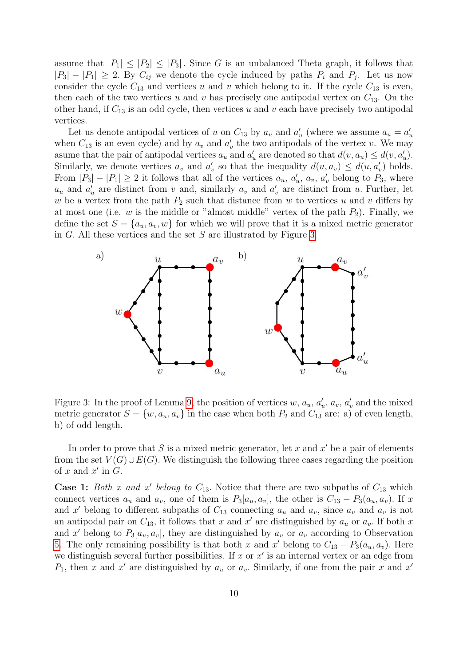assume that  $|P_1| \leq |P_2| \leq |P_3|$ . Since G is an unbalanced Theta graph, it follows that  $|P_3| - |P_1| \geq 2$ . By  $C_{ij}$  we denote the cycle induced by paths  $P_i$  and  $P_j$ . Let us now consider the cycle  $C_{13}$  and vertices u and v which belong to it. If the cycle  $C_{13}$  is even, then each of the two vertices u and v has precisely one antipodal vertex on  $C_{13}$ . On the other hand, if  $C_{13}$  is an odd cycle, then vertices u and v each have precisely two antipodal vertices.

Let us denote antipodal vertices of u on  $C_{13}$  by  $a_u$  and  $a'_u$  (where we assume  $a_u = a'_u$ when  $C_{13}$  is an even cycle) and by  $a_v$  and  $a'_v$  the two antipodals of the vertex v. We may asume that the pair of antipodal vertices  $a_u$  and  $a'_u$  are denoted so that  $d(v, a_u) \leq d(v, a'_u)$ . Similarly, we denote vertices  $a_v$  and  $a'_v$  so that the inequality  $d(u, a_v) \leq d(u, a'_v)$  holds. From  $|P_3| - |P_1| \ge 2$  it follows that all of the vertices  $a_u, a'_u, a_v, a'_v$  belong to  $P_3$ , where  $a_u$  and  $a'_u$  are distinct from v and, similarly  $a_v$  and  $a'_v$  are distinct from u. Further, let w be a vertex from the path  $P_2$  such that distance from w to vertices u and v differs by at most one (i.e.  $w$  is the middle or "almost middle" vertex of the path  $P_2$ ). Finally, we define the set  $S = \{a_u, a_v, w\}$  for which we will prove that it is a mixed metric generator in  $G$ . All these vertices and the set  $S$  are illustrated by Figure [3.](#page-9-0)



<span id="page-9-0"></span>Figure 3: In the proof of Lemma [9,](#page-8-0) the position of vertices  $w, a_u, a'_u, a_v, a'_v$  and the mixed metric generator  $S = \{w, a_u, a_v\}$  in the case when both  $P_2$  and  $C_{13}$  are: a) of even length, b) of odd length.

In order to prove that  $S$  is a mixed metric generator, let  $x$  and  $x'$  be a pair of elements from the set  $V(G) \cup E(G)$ . We distinguish the following three cases regarding the position of  $x$  and  $x'$  in  $G$ .

**Case 1:** Both x and x' belong to  $C_{13}$ . Notice that there are two subpaths of  $C_{13}$  which connect vertices  $a_u$  and  $a_v$ , one of them is  $P_3[a_u, a_v]$ , the other is  $C_{13} - P_3(a_u, a_v)$ . If x and x' belong to different subpaths of  $C_{13}$  connecting  $a_u$  and  $a_v$ , since  $a_u$  and  $a_v$  is not an antipodal pair on  $C_{13}$ , it follows that x and x' are distinguished by  $a_u$  or  $a_v$ . If both x and x' belong to  $P_3[a_u, a_v]$ , they are distinguished by  $a_u$  or  $a_v$  according to Observation [5.](#page-2-1) The only remaining possibility is that both x and x' belong to  $C_{13} - P_3(a_u, a_v)$ . Here we distinguish several further possibilities. If  $x$  or  $x'$  is an internal vertex or an edge from  $P_1$ , then x and x' are distinguished by  $a_u$  or  $a_v$ . Similarly, if one from the pair x and x'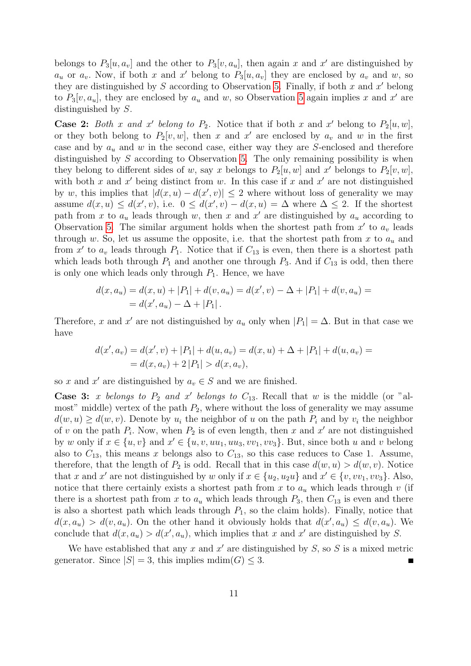belongs to  $P_3[u, a_v]$  and the other to  $P_3[v, a_u]$ , then again x and x' are distinguished by  $a_u$  or  $a_v$ . Now, if both x and x' belong to  $P_3[u, a_v]$  they are enclosed by  $a_v$  and w, so they are distinguished by  $S$  according to Observation [5.](#page-2-1) Finally, if both  $x$  and  $x'$  belong to  $P_3[v, a_u]$ , they are enclosed by  $a_u$  and w, so Observation [5](#page-2-1) again implies x and x' are distinguished by S.

**Case 2:** Both x and x' belong to  $P_2$ . Notice that if both x and x' belong to  $P_2[u, w]$ , or they both belong to  $P_2[v, w]$ , then x and x' are enclosed by  $a_v$  and w in the first case and by  $a_u$  and w in the second case, either way they are S-enclosed and therefore distinguished by S according to Observation [5.](#page-2-1) The only remaining possibility is when they belong to different sides of w, say x belongs to  $P_2[u, w]$  and x' belongs to  $P_2[v, w]$ , with both x and  $x'$  being distinct from w. In this case if x and  $x'$  are not distinguished by w, this implies that  $|d(x, u) - d(x', v)| \leq 2$  where without loss of generality we may assume  $d(x, u) \leq d(x', v)$ , i.e.  $0 \leq d(x', v) - d(x, u) = \Delta$  where  $\Delta \leq 2$ . If the shortest path from x to  $a_u$  leads through w, then x and x' are distinguished by  $a_u$  according to Observation [5.](#page-2-1) The similar argument holds when the shortest path from  $x'$  to  $a_v$  leads through w. So, let us assume the opposite, i.e. that the shortest path from x to  $a_u$  and from x' to  $a_v$  leads through  $P_1$ . Notice that if  $C_{13}$  is even, then there is a shortest path which leads both through  $P_1$  and another one through  $P_3$ . And if  $C_{13}$  is odd, then there is only one which leads only through  $P_1$ . Hence, we have

$$
d(x, a_u) = d(x, u) + |P_1| + d(v, a_u) = d(x', v) - \Delta + |P_1| + d(v, a_u) =
$$
  
=  $d(x', a_u) - \Delta + |P_1|$ .

Therefore, x and x' are not distinguished by  $a_u$  only when  $|P_1| = \Delta$ . But in that case we have

$$
d(x', a_v) = d(x', v) + |P_1| + d(u, a_v) = d(x, u) + \Delta + |P_1| + d(u, a_v) =
$$
  
=  $d(x, a_v) + 2 |P_1| > d(x, a_v),$ 

so x and x' are distinguished by  $a_v \in S$  and we are finished.

Case 3: x belongs to  $P_2$  and x' belongs to  $C_{13}$ . Recall that w is the middle (or "almost" middle) vertex of the path  $P_2$ , where without the loss of generality we may assume  $d(w, u) \geq d(w, v)$ . Denote by  $u_i$  the neighbor of u on the path  $P_i$  and by  $v_i$  the neighbor of v on the path  $P_i$ . Now, when  $P_2$  is of even length, then x and x' are not distinguished by w only if  $x \in \{u, v\}$  and  $x' \in \{u, v, uu_1, uu_3, vv_1, vv_3\}$ . But, since both u and v belong also to  $C_{13}$ , this means x belongs also to  $C_{13}$ , so this case reduces to Case 1. Assume, therefore, that the length of  $P_2$  is odd. Recall that in this case  $d(w, u) > d(w, v)$ . Notice that x and x' are not distinguished by w only if  $x \in \{u_2, u_2u\}$  and  $x' \in \{v, vv_1, vv_3\}$ . Also, notice that there certainly exists a shortest path from  $x$  to  $a<sub>u</sub>$  which leads through  $v$  (if there is a shortest path from x to  $a_u$  which leads through  $P_3$ , then  $C_{13}$  is even and there is also a shortest path which leads through  $P_1$ , so the claim holds). Finally, notice that  $d(x, a_u) > d(v, a_u)$ . On the other hand it obviously holds that  $d(x', a_u) \leq d(v, a_u)$ . We conclude that  $d(x, a_u) > d(x', a_u)$ , which implies that x and x' are distinguished by S.

We have established that any  $x$  and  $x'$  are distinguished by  $S$ , so  $S$  is a mixed metric generator. Since  $|S| = 3$ , this implies  $\text{mdim}(G) \leq 3$ .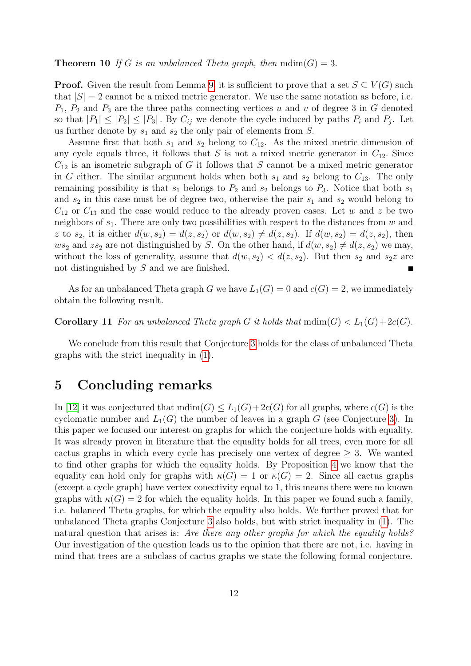#### **Theorem 10** If G is an unbalanced Theta graph, then  $\text{mdim}(G) = 3$ .

**Proof.** Given the result from Lemma [9,](#page-8-0) it is sufficient to prove that a set  $S \subseteq V(G)$  such that  $|S| = 2$  cannot be a mixed metric generator. We use the same notation as before, i.e.  $P_1$ ,  $P_2$  and  $P_3$  are the three paths connecting vertices u and v of degree 3 in G denoted so that  $|P_1| \leq |P_2| \leq |P_3|$ . By  $C_{ij}$  we denote the cycle induced by paths  $P_i$  and  $P_j$ . Let us further denote by  $s_1$  and  $s_2$  the only pair of elements from S.

Assume first that both  $s_1$  and  $s_2$  belong to  $C_{12}$ . As the mixed metric dimension of any cycle equals three, it follows that S is not a mixed metric generator in  $C_{12}$ . Since  $C_{12}$  is an isometric subgraph of G it follows that S cannot be a mixed metric generator in G either. The similar argument holds when both  $s_1$  and  $s_2$  belong to  $C_{13}$ . The only remaining possibility is that  $s_1$  belongs to  $P_2$  and  $s_2$  belongs to  $P_3$ . Notice that both  $s_1$ and  $s_2$  in this case must be of degree two, otherwise the pair  $s_1$  and  $s_2$  would belong to  $C_{12}$  or  $C_{13}$  and the case would reduce to the already proven cases. Let w and z be two neighbors of  $s_1$ . There are only two possibilities with respect to the distances from w and z to  $s_2$ , it is either  $d(w, s_2) = d(z, s_2)$  or  $d(w, s_2) \neq d(z, s_2)$ . If  $d(w, s_2) = d(z, s_2)$ , then  $ws_2$  and  $zs_2$  are not distinguished by S. On the other hand, if  $d(w, s_2) \neq d(z, s_2)$  we may, without the loss of generality, assume that  $d(w, s_2) < d(z, s_2)$ . But then  $s_2$  and  $s_2z$  are not distinguished by S and we are finished.

As for an unbalanced Theta graph G we have  $L_1(G) = 0$  and  $c(G) = 2$ , we immediately obtain the following result.

**Corollary 11** For an unbalanced Theta graph G it holds that  $\text{mdim}(G) < L_1(G) + 2c(G)$ .

We conclude from this result that Conjecture [3](#page-1-3) holds for the class of unbalanced Theta graphs with the strict inequality in [\(1\)](#page-1-2).

#### 5 Concluding remarks

In [\[12\]](#page-13-0) it was conjectured that  $\text{mdim}(G) \leq L_1(G) + 2c(G)$  for all graphs, where  $c(G)$  is the cyclomatic number and  $L_1(G)$  the number of leaves in a graph G (see Conjecture [3\)](#page-1-3). In this paper we focused our interest on graphs for which the conjecture holds with equality. It was already proven in literature that the equality holds for all trees, even more for all cactus graphs in which every cycle has precisely one vertex of degree  $\geq 3$ . We wanted to find other graphs for which the equality holds. By Proposition [4](#page-2-2) we know that the equality can hold only for graphs with  $\kappa(G) = 1$  or  $\kappa(G) = 2$ . Since all cactus graphs (except a cycle graph) have vertex conectivity equal to 1, this means there were no known graphs with  $\kappa(G) = 2$  for which the equality holds. In this paper we found such a family, i.e. balanced Theta graphs, for which the equality also holds. We further proved that for unbalanced Theta graphs Conjecture [3](#page-1-3) also holds, but with strict inequality in [\(1\)](#page-1-2). The natural question that arises is: Are there any other graphs for which the equality holds? Our investigation of the question leads us to the opinion that there are not, i.e. having in mind that trees are a subclass of cactus graphs we state the following formal conjecture.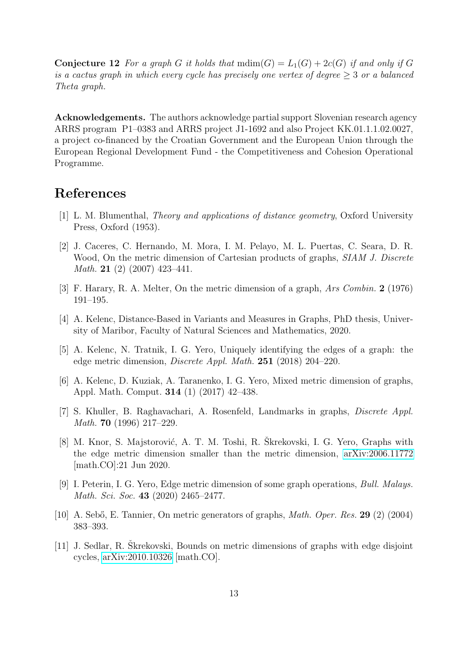**Conjecture 12** For a graph G it holds that  $\text{mdim}(G) = L_1(G) + 2c(G)$  if and only if G is a cactus graph in which every cycle has precisely one vertex of degree  $\geq 3$  or a balanced Theta graph.

Acknowledgements. The authors acknowledge partial support Slovenian research agency ARRS program P1–0383 and ARRS project J1-1692 and also Project KK.01.1.1.02.0027, a project co-financed by the Croatian Government and the European Union through the European Regional Development Fund - the Competitiveness and Cohesion Operational Programme.

### References

- <span id="page-12-1"></span>[1] L. M. Blumenthal, Theory and applications of distance geometry, Oxford University Press, Oxford (1953).
- [2] J. Caceres, C. Hernando, M. Mora, I. M. Pelayo, M. L. Puertas, C. Seara, D. R. Wood, On the metric dimension of Cartesian products of graphs, *SIAM J. Discrete* Math. 21 (2) (2007) 423–441.
- <span id="page-12-0"></span>[3] F. Harary, R. A. Melter, On the metric dimension of a graph, Ars Combin. 2 (1976) 191–195.
- <span id="page-12-6"></span>[4] A. Kelenc, Distance-Based in Variants and Measures in Graphs, PhD thesis, University of Maribor, Faculty of Natural Sciences and Mathematics, 2020.
- <span id="page-12-2"></span>[5] A. Kelenc, N. Tratnik, I. G. Yero, Uniquely identifying the edges of a graph: the edge metric dimension, Discrete Appl. Math. 251 (2018) 204–220.
- <span id="page-12-3"></span>[6] A. Kelenc, D. Kuziak, A. Taranenko, I. G. Yero, Mixed metric dimension of graphs, Appl. Math. Comput. 314 (1) (2017) 42–438.
- [7] S. Khuller, B. Raghavachari, A. Rosenfeld, Landmarks in graphs, Discrete Appl. Math. 70 (1996) 217–229.
- [8] M. Knor, S. Majstorović, A. T. M. Toshi, R. Skrekovski, I. G. Yero, Graphs with the edge metric dimension smaller than the metric dimension, [arXiv:2006.11772](http://arxiv.org/abs/2006.11772) [math.CO]:21 Jun 2020.
- <span id="page-12-4"></span>[9] I. Peterin, I. G. Yero, Edge metric dimension of some graph operations, Bull. Malays. Math. Sci. Soc. 43 (2020) 2465–2477.
- [10] A. Sebő, E. Tannier, On metric generators of graphs, *Math. Oper. Res.* 29 (2) (2004) 383–393.
- <span id="page-12-5"></span>[11] J. Sedlar, R. Skrekovski, Bounds on metric dimensions of graphs with edge disjoint cycles, [arXiv:2010.10326](http://arxiv.org/abs/2010.10326) [math.CO].